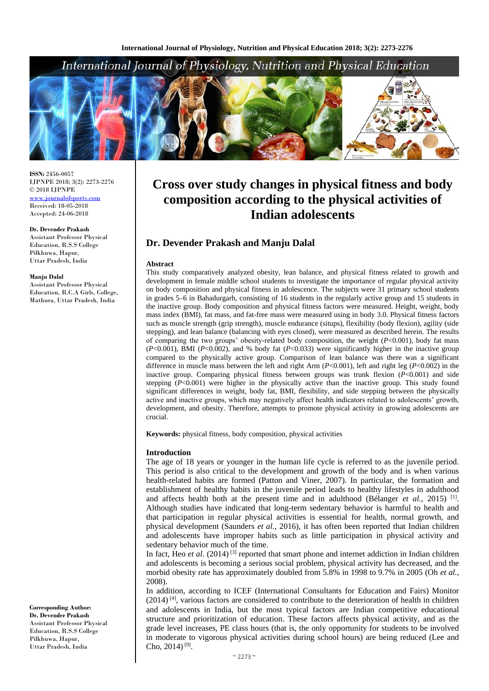# International Journal of Physiology, Nutrition and Physical Education



**ISSN:** 2456-0057 IJPNPE 2018; 3(2): 2273-2276  $\odot$  2018 IJPNPE <www.journalofsports.com> Received: 18-05-2018 Accepted: 24-06-2018

**Dr. Devender Prakash**

Assistant Professor Physical Education, R.S.S College Pilkhuwa, Hapur, Uttar Pradesh, India

#### **Manju Dalal**

Assistant Professor Physical Education, R.C.A Girls, College, Mathura, Uttar Pradesh, India

**Corresponding Author: Dr. Devender Prakash** Assistant Professor Physical Education, R.S.S College Pilkhuwa, Hapur, Uttar Pradesh, India

# **Cross over study changes in physical fitness and body composition according to the physical activities of Indian adolescents**

## **Dr. Devender Prakash and Manju Dalal**

#### **Abstract**

This study comparatively analyzed obesity, lean balance, and physical fitness related to growth and development in female middle school students to investigate the importance of regular physical activity on body composition and physical fitness in adolescence. The subjects were 31 primary school students in grades 5–6 in Bahadurgarh, consisting of 16 students in the regularly active group and 15 students in the inactive group. Body composition and physical fitness factors were measured. Height, weight, body mass index (BMI), fat mass, and fat-free mass were measured using in body 3.0. Physical fitness factors such as muscle strength (grip strength), muscle endurance (situps), flexibility (body flexion), agility (side stepping), and lean balance (balancing with eyes closed), were measured as described herein. The results of comparing the two groups' obesity-related body composition, the weight  $(P<0.001)$ , body fat mass (*P*<0.001), BMI (*P*<0.002), and % body fat (*P*<0.033) were significantly higher in the inactive group compared to the physically active group. Comparison of lean balance was there was a significant difference in muscle mass between the left and right Arm (*P*<0.001), left and right leg (*P*<0.002) in the inactive group. Comparing physical fitness between groups was trunk flexion (*P*<0.001) and side stepping  $(P<0.001)$  were higher in the physically active than the inactive group. This study found significant differences in weight, body fat, BMI, flexibility, and side stepping between the physically active and inactive groups, which may negatively affect health indicators related to adolescents' growth, development, and obesity. Therefore, attempts to promote physical activity in growing adolescents are crucial.

**Keywords:** physical fitness, body composition, physical activities

### **Introduction**

The age of 18 years or younger in the human life cycle is referred to as the juvenile period. This period is also critical to the development and growth of the body and is when various health-related habits are formed (Patton and Viner, 2007). In particular, the formation and establishment of healthy habits in the juvenile period leads to healthy lifestyles in adulthood and affects health both at the present time and in adulthood (Bélanger *et al.*, 2015)<sup>[1]</sup>. Although studies have indicated that long-term sedentary behavior is harmful to health and that participation in regular physical activities is essential for health, normal growth, and physical development (Saunders *et al.*, 2016), it has often been reported that Indian children and adolescents have improper habits such as little participation in physical activity and sedentary behavior much of the time.

In fact, Heo *et al.* (2014)<sup>[3]</sup> reported that smart phone and internet addiction in Indian children and adolescents is becoming a serious social problem, physical activity has decreased, and the morbid obesity rate has approximately doubled from 5.8% in 1998 to 9.7% in 2005 (Oh *et al.*, 2008).

In addition, according to ICEF (International Consultants for Education and Fairs) Monitor (2014) [4], various factors are considered to contribute to the deterioration of health in children and adolescents in India, but the most typical factors are Indian competitive educational structure and prioritization of education. These factors affects physical activity, and as the grade level increases, PE class hours (that is, the only opportunity for students to be involved in moderate to vigorous physical activities during school hours) are being reduced (Lee and Cho,  $2014$ )<sup>[9]</sup>.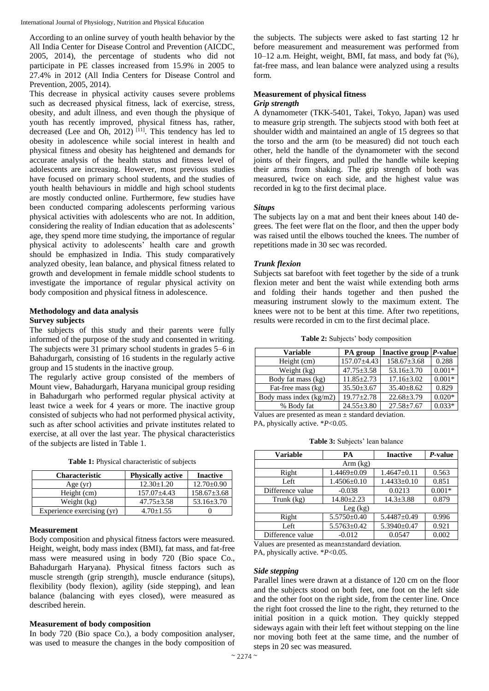International Journal of Physiology, Nutrition and Physical Education

According to an online survey of youth health behavior by the All India Center for Disease Control and Prevention (AICDC, 2005, 2014), the percentage of students who did not participate in PE classes increased from 15.9% in 2005 to 27.4% in 2012 (All India Centers for Disease Control and Prevention, 2005, 2014).

This decrease in physical activity causes severe problems such as decreased physical fitness, lack of exercise, stress, obesity, and adult illness, and even though the physique of youth has recently improved, physical fitness has, rather, decreased (Lee and Oh, 2012)  $[11]$ . This tendency has led to obesity in adolescence while social interest in health and physical fitness and obesity has heightened and demands for accurate analysis of the health status and fitness level of adolescents are increasing. However, most previous studies have focused on primary school students, and the studies of youth health behaviours in middle and high school students are mostly conducted online. Furthermore, few studies have been conducted comparing adolescents performing various physical activities with adolescents who are not. In addition, considering the reality of Indian education that as adolescents' age, they spend more time studying, the importance of regular physical activity to adolescents' health care and growth should be emphasized in India. This study comparatively analyzed obesity, lean balance, and physical fitness related to growth and development in female middle school students to investigate the importance of regular physical activity on body composition and physical fitness in adolescence.

# **Methodology and data analysis**

## **Survey subjects**

The subjects of this study and their parents were fully informed of the purpose of the study and consented in writing. The subjects were 31 primary school students in grades 5–6 in Bahadurgarh, consisting of 16 students in the regularly active group and 15 students in the inactive group.

The regularly active group consisted of the members of Mount view, Bahadurgarh, Haryana municipal group residing in Bahadurgarh who performed regular physical activity at least twice a week for 4 years or more. The inactive group consisted of subjects who had not performed physical activity, such as after school activities and private institutes related to exercise, at all over the last year. The physical characteristics of the subjects are listed in Table 1.

| <b>Table 1:</b> Physical characteristic of subjects |  |  |  |
|-----------------------------------------------------|--|--|--|
|-----------------------------------------------------|--|--|--|

| <b>Characteristic</b>      | <b>Physically active</b> | <b>Inactive</b>   |
|----------------------------|--------------------------|-------------------|
| Age $(yr)$                 | $12.30 + 1.20$           | $12.70 \pm 0.90$  |
| Height (cm)                | $157.07 \pm 4.43$        | $158.67 \pm 3.68$ |
| Weight (kg)                | $47.75 \pm 3.58$         | $53.16 \pm 3.70$  |
| Experience exercising (yr) | $4.70 + 1.55$            |                   |

## **Measurement**

Body composition and physical fitness factors were measured. Height, weight, body mass index (BMI), fat mass, and fat-free mass were measured using in body 720 (Bio space Co., Bahadurgarh Haryana). Physical fitness factors such as muscle strength (grip strength), muscle endurance (situps), flexibility (body flexion), agility (side stepping), and lean balance (balancing with eyes closed), were measured as described herein.

## **Measurement of body composition**

In body 720 (Bio space Co.), a body composition analyser. was used to measure the changes in the body composition of the subjects. The subjects were asked to fast starting 12 hr before measurement and measurement was performed from 10–12 a.m. Height, weight, BMI, fat mass, and body fat (%), fat-free mass, and lean balance were analyzed using a results form.

# **Measurement of physical fitness**

## *Grip strength*

A dynamometer (TKK-5401, Takei, Tokyo, Japan) was used to measure grip strength. The subjects stood with both feet at shoulder width and maintained an angle of 15 degrees so that the torso and the arm (to be measured) did not touch each other, held the handle of the dynamometer with the second joints of their fingers, and pulled the handle while keeping their arms from shaking. The grip strength of both was measured, twice on each side, and the highest value was recorded in kg to the first decimal place.

## *Situps*

The subjects lay on a mat and bent their knees about 140 degrees. The feet were flat on the floor, and then the upper body was raised until the elbows touched the knees. The number of repetitions made in 30 sec was recorded.

## *Trunk flexion*

Subjects sat barefoot with feet together by the side of a trunk flexion meter and bent the waist while extending both arms and folding their hands together and then pushed the measuring instrument slowly to the maximum extent. The knees were not to be bent at this time. After two repetitions, results were recorded in cm to the first decimal place.

**Table 2:** Subjects' body composition

| <b>Variable</b>         | PA group          | Inactive group $ P$ -value |          |
|-------------------------|-------------------|----------------------------|----------|
| Height (cm)             | $157.07 \pm 4.43$ | $158.67 \pm 3.68$          | 0.288    |
| Weight (kg)             | $47.75 \pm 3.58$  | $53.16 \pm 3.70$           | $0.001*$ |
| Body fat mass (kg)      | $11.85 \pm 2.73$  | $17.16 \pm 3.02$           | $0.001*$ |
| Fat-free mass (kg)      | $35.50 \pm 3.67$  | $35.40 \pm 8.62$           | 0.829    |
| Body mass index (kg/m2) | $19.77 \pm 2.78$  | $22.68 \pm 3.79$           | $0.020*$ |
| % Body fat              | $24.55 \pm 3.80$  | $27.58 \pm 7.67$           | $0.033*$ |

Values are presented as mean  $\pm$  standard deviation. PA, physically active. \**P*<0.05.

**Table 3:** Subjects' lean balance

| <b>Variable</b>  | PА                | <b>Inactive</b>   | $P$ -value |  |
|------------------|-------------------|-------------------|------------|--|
| Arm (kg)         |                   |                   |            |  |
| Right            | $1.4469 \pm 0.09$ | $1.4647 \pm 0.11$ | 0.563      |  |
| Left             | $1.4506 \pm 0.10$ | $1.4433 \pm 0.10$ | 0.851      |  |
| Difference value | $-0.038$          | 0.0213            | $0.001*$   |  |
| Trunk (kg)       | $14.80 \pm 2.23$  | $14.3 \pm 3.88$   | 0.879      |  |
|                  | Leg (kg)          |                   |            |  |
| Right            | $5.5750 \pm 0.40$ | $5.4487 \pm 0.49$ | 0.996      |  |
| Left             | $5.5763 \pm 0.42$ | $5.3940 \pm 0.47$ | 0.921      |  |
| Difference value | $-0.012$          | 0.0547            | 0.002      |  |

Values are presented as mean±standard deviation.

PA, physically active. \**P*<0.05.

## *Side stepping*

Parallel lines were drawn at a distance of 120 cm on the floor and the subjects stood on both feet, one foot on the left side and the other foot on the right side, from the center line. Once the right foot crossed the line to the right, they returned to the initial position in a quick motion. They quickly stepped sideways again with their left feet without stepping on the line nor moving both feet at the same time, and the number of steps in 20 sec was measured.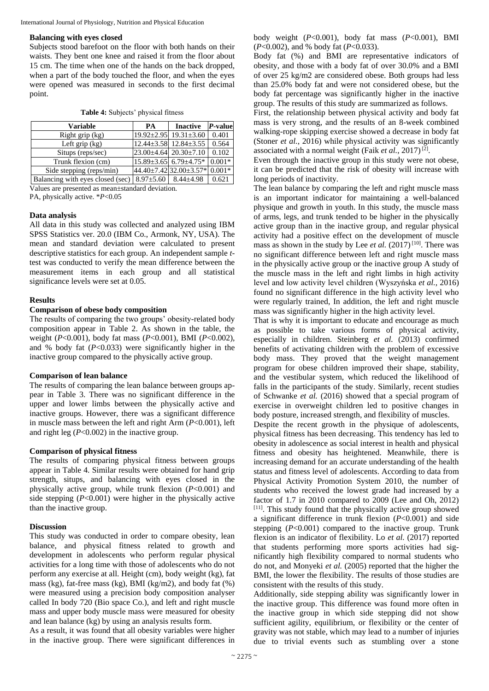#### **Balancing with eyes closed**

Subjects stood barefoot on the floor with both hands on their waists. They bent one knee and raised it from the floor about 15 cm. The time when one of the hands on the back dropped, when a part of the body touched the floor, and when the eyes were opened was measured in seconds to the first decimal point.

| <b>Variable</b>                  | <b>PA</b>       | <b>Inactive</b>                    | P-value  |
|----------------------------------|-----------------|------------------------------------|----------|
| Right grip (kg)                  |                 | $19.92 \pm 2.95$ 19.31 $\pm$ 3.60  | 0.401    |
| Left grip $(kg)$                 |                 | $12.44 \pm 3.58$ 12.84 $\pm 3.55$  | 0.564    |
| Situps (reps/sec)                |                 | $23.00\pm4.64$ $20.30\pm7.10$      | 0.102    |
| Trunk flexion (cm)               |                 | $15.89 \pm 3.65$ 6.79 $\pm 4.75$ * | $0.001*$ |
| Side stepping (reps/min)         |                 | 44.40±7.42 32.00±3.57*             | $0.001*$ |
| Balancing with eyes closed (sec) | $8.97 \pm 5.60$ | $8.44 + 4.98$                      | 0.621    |
|                                  |                 |                                    |          |

**Table 4:** Subjects' physical fitness

Values are presented as mean±standard deviation.

PA, physically active. \**P*<0.05

#### **Data analysis**

All data in this study was collected and analyzed using IBM SPSS Statistics ver. 20.0 (IBM Co., Armonk, NY, USA). The mean and standard deviation were calculated to present descriptive statistics for each group. An independent sample *t*test was conducted to verify the mean difference between the measurement items in each group and all statistical significance levels were set at 0.05.

## **Results**

#### **Comparison of obese body composition**

The results of comparing the two groups' obesity-related body composition appear in Table 2. As shown in the table, the weight (*P*<0.001), body fat mass (*P*<0.001), BMI (*P*<0.002), and % body fat (*P*<0.033) were significantly higher in the inactive group compared to the physically active group.

## **Comparison of lean balance**

The results of comparing the lean balance between groups appear in Table 3. There was no significant difference in the upper and lower limbs between the physically active and inactive groups. However, there was a significant difference in muscle mass between the left and right Arm (*P*<0.001), left and right leg (*P*<0.002) in the inactive group.

#### **Comparison of physical fitness**

The results of comparing physical fitness between groups appear in Table 4. Similar results were obtained for hand grip strength, situps, and balancing with eyes closed in the physically active group, while trunk flexion (*P*<0.001) and side stepping  $(P<0.001)$  were higher in the physically active than the inactive group.

#### **Discussion**

This study was conducted in order to compare obesity, lean balance, and physical fitness related to growth and development in adolescents who perform regular physical activities for a long time with those of adolescents who do not perform any exercise at all. Height (cm), body weight (kg), fat mass (kg), fat-free mass (kg), BMI (kg/m2), and body fat (%) were measured using a precision body composition analyser called In body 720 (Bio space Co.), and left and right muscle mass and upper body muscle mass were measured for obesity and lean balance (kg) by using an analysis results form.

As a result, it was found that all obesity variables were higher in the inactive group. There were significant differences in

body weight (*P*<0.001), body fat mass (*P*<0.001), BMI (*P*<0.002), and % body fat (*P*<0.033).

Body fat (%) and BMI are representative indicators of obesity, and those with a body fat of over 30.0% and a BMI of over 25 kg/m2 are considered obese. Both groups had less than 25.0% body fat and were not considered obese, but the body fat percentage was significantly higher in the inactive group. The results of this study are summarized as follows.

First, the relationship between physical activity and body fat mass is very strong, and the results of an 8-week combined walking-rope skipping exercise showed a decrease in body fat (Stoner *et al.*, 2016) while physical activity was significantly associated with a normal weight (Faik et al., 2017)<sup>[2]</sup>.

Even through the inactive group in this study were not obese, it can be predicted that the risk of obesity will increase with long periods of inactivity.

The lean balance by comparing the left and right muscle mass is an important indicator for maintaining a well-balanced physique and growth in youth. In this study, the muscle mass of arms, legs, and trunk tended to be higher in the physically active group than in the inactive group, and regular physical activity had a positive effect on the development of muscle mass as shown in the study by Lee *et al.*  $(2017)^{[10]}$ . There was no significant difference between left and right muscle mass in the physically active group or the inactive group A study of the muscle mass in the left and right limbs in high activity level and low activity level children (Wyszyńska *et al.*, 2016) found no significant difference in the high activity level who were regularly trained, In addition, the left and right muscle mass was significantly higher in the high activity level.

That is why it is important to educate and encourage as much as possible to take various forms of physical activity, especially in children. Steinberg *et al.* (2013) confirmed benefits of activating children with the problem of excessive body mass. They proved that the weight management program for obese children improved their shape, stability, and the vestibular system, which reduced the likelihood of falls in the participants of the study. Similarly, recent studies of Schwanke *et al.* (2016) showed that a special program of exercise in overweight children led to positive changes in body posture, increased strength, and flexibility of muscles.

Despite the recent growth in the physique of adolescents, physical fitness has been decreasing. This tendency has led to obesity in adolescence as social interest in health and physical fitness and obesity has heightened. Meanwhile, there is increasing demand for an accurate understanding of the health status and fitness level of adolescents. According to data from Physical Activity Promotion System 2010, the number of students who received the lowest grade had increased by a factor of 1.7 in 2010 compared to 2009 (Lee and Oh, 2012) [11]. This study found that the physically active group showed a significant difference in trunk flexion (*P*<0.001) and side stepping  $(P<0.001)$  compared to the inactive group. Trunk flexion is an indicator of flexibility. Lo et al. (2017) reported that students performing more sports activities had significantly high flexibility compared to normal students who do not, and Monyeki *et al.* (2005) reported that the higher the BMI, the lower the flexibility. The results of those studies are consistent with the results of this study.

Additionally, side stepping ability was significantly lower in the inactive group. This difference was found more often in the inactive group in which side stepping did not show sufficient agility, equilibrium, or flexibility or the center of gravity was not stable, which may lead to a number of injuries due to trivial events such as stumbling over a stone